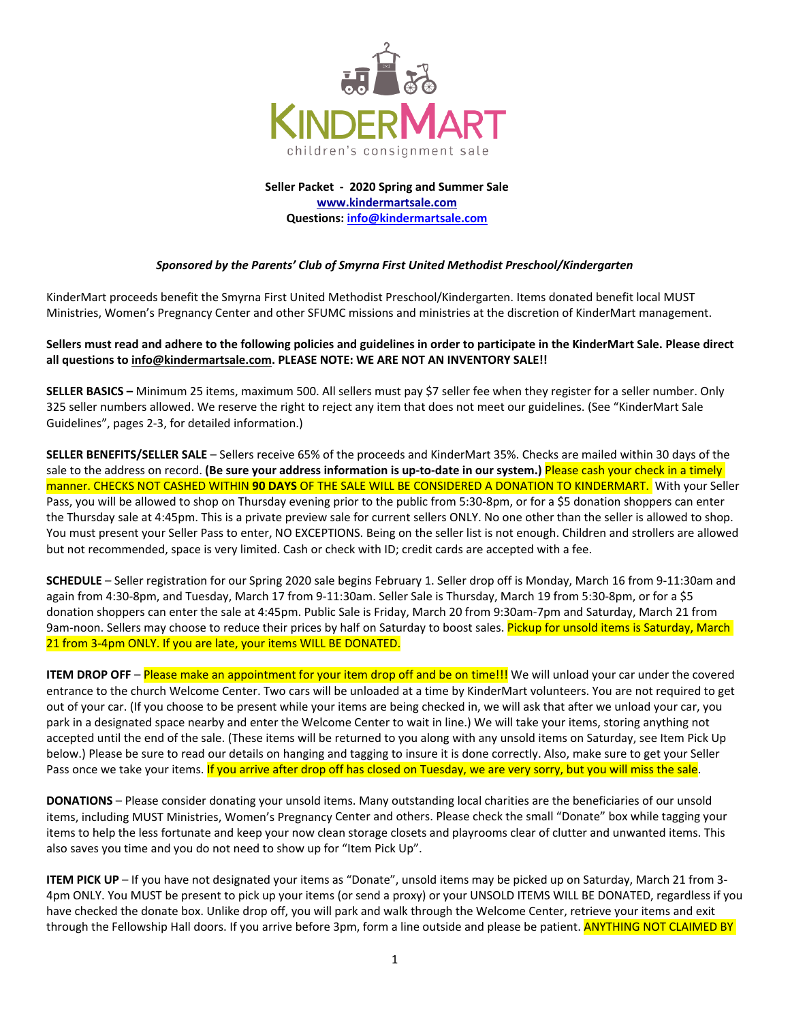

**Seller Packet ‐ 2020 Spring and Summer Sale www.kindermartsale.com Questions: info@kindermartsale.com**

#### *Sponsored by the Parents' Club of Smyrna First United Methodist Preschool/Kindergarten*

KinderMart proceeds benefit the Smyrna First United Methodist Preschool/Kindergarten. Items donated benefit local MUST Ministries, Women's Pregnancy Center and other SFUMC missions and ministries at the discretion of KinderMart management.

#### Sellers must read and adhere to the following policies and guidelines in order to participate in the KinderMart Sale. Please direct **all questions to info@kindermartsale.com. PLEASE NOTE: WE ARE NOT AN INVENTORY SALE!!**

**SELLER BASICS –** Minimum 25 items, maximum 500. All sellers must pay \$7 seller fee when they register for a seller number. Only 325 seller numbers allowed. We reserve the right to reject any item that does not meet our guidelines. (See "KinderMart Sale Guidelines", pages 2‐3, for detailed information.)

**SELLER BENEFITS/SELLER SALE** – Sellers receive 65% of the proceeds and KinderMart 35%. Checks are mailed within 30 days of the sale to the address on record. (Be sure your address information is up-to-date in our system.) Please cash your check in a timely manner. CHECKS NOT CASHED WITHIN **90 DAYS** OF THE SALE WILL BE CONSIDERED A DONATION TO KINDERMART. With your Seller Pass, you will be allowed to shop on Thursday evening prior to the public from 5:30‐8pm, or for a \$5 donation shoppers can enter the Thursday sale at 4:45pm. This is a private preview sale for current sellers ONLY. No one other than the seller is allowed to shop. You must present your Seller Pass to enter, NO EXCEPTIONS. Being on the seller list is not enough. Children and strollers are allowed but not recommended, space is very limited. Cash or check with ID; credit cards are accepted with a fee.

**SCHEDULE** – Seller registration for our Spring 2020 sale begins February 1. Seller drop off is Monday, March 16 from 9‐11:30am and again from 4:30-8pm, and Tuesday, March 17 from 9-11:30am. Seller Sale is Thursday, March 19 from 5:30-8pm, or for a \$5 donation shoppers can enter the sale at 4:45pm. Public Sale is Friday, March 20 from 9:30am‐7pm and Saturday, March 21 from 9am-noon. Sellers may choose to reduce their prices by half on Saturday to boost sales. Pickup for unsold items is Saturday, March 21 from 3-4pm ONLY. If you are late, your items WILL BE DONATED.

**ITEM DROP OFF** – Please make an appointment for your item drop off and be on time!!! We will unload your car under the covered entrance to the church Welcome Center. Two cars will be unloaded at a time by KinderMart volunteers. You are not required to get out of your car. (If you choose to be present while your items are being checked in, we will ask that after we unload your car, you park in a designated space nearby and enter the Welcome Center to wait in line.) We will take your items, storing anything not accepted until the end of the sale. (These items will be returned to you along with any unsold items on Saturday, see Item Pick Up below.) Please be sure to read our details on hanging and tagging to insure it is done correctly. Also, make sure to get your Seller Pass once we take your items. If you arrive after drop off has closed on Tuesday, we are very sorry, but you will miss the sale.

**DONATIONS** – Please consider donating your unsold items. Many outstanding local charities are the beneficiaries of our unsold items, including MUST Ministries, Women's Pregnancy Center and others. Please check the small "Donate" box while tagging your items to help the less fortunate and keep your now clean storage closets and playrooms clear of clutter and unwanted items. This also saves you time and you do not need to show up for "Item Pick Up".

**ITEM PICK UP** – If you have not designated your items as "Donate", unsold items may be picked up on Saturday, March 21 from 3‐ 4pm ONLY. You MUST be present to pick up your items (or send a proxy) or your UNSOLD ITEMS WILL BE DONATED, regardless if you have checked the donate box. Unlike drop off, you will park and walk through the Welcome Center, retrieve your items and exit through the Fellowship Hall doors. If you arrive before 3pm, form a line outside and please be patient. ANYTHING NOT CLAIMED BY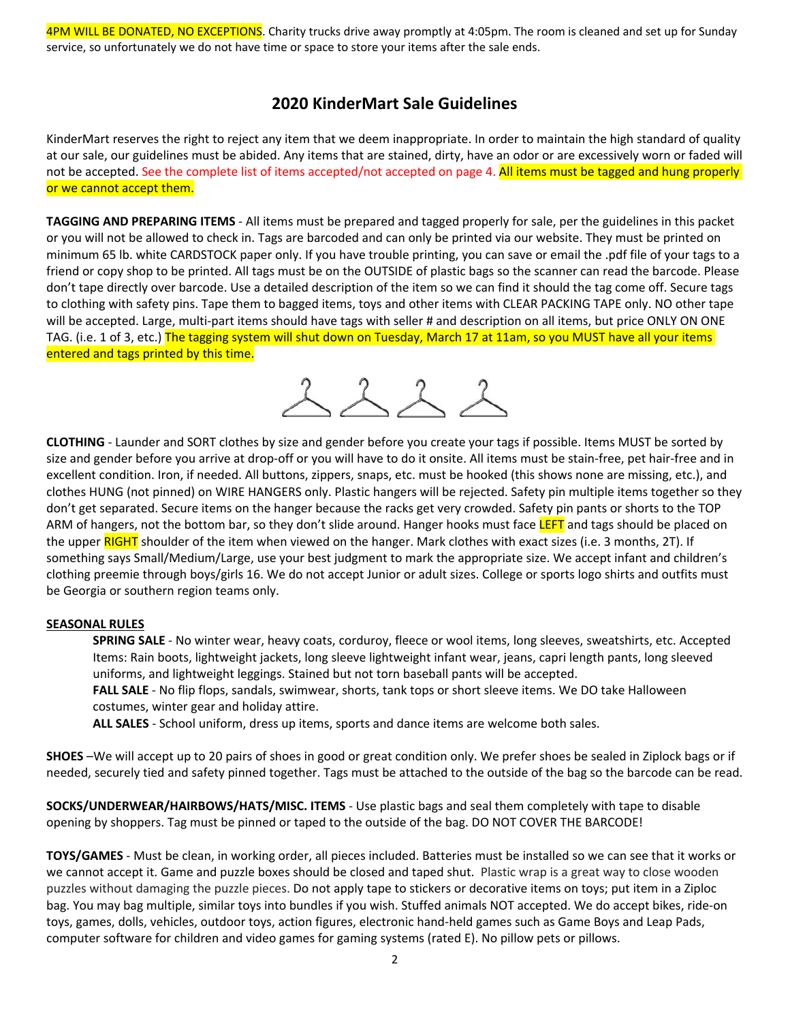4PM WILL BE DONATED, NO EXCEPTIONS. Charity trucks drive away promptly at 4:05pm. The room is cleaned and set up for Sunday service, so unfortunately we do not have time or space to store your items after the sale ends.

## **2020 KinderMart Sale Guidelines**

KinderMart reserves the right to reject any item that we deem inappropriate. In order to maintain the high standard of quality at our sale, our guidelines must be abided. Any items that are stained, dirty, have an odor or are excessively worn or faded will not be accepted. See the complete list of items accepted/not accepted on page 4. All items must be tagged and hung properly or we cannot accept them.

**TAGGING AND PREPARING ITEMS** ‐ All items must be prepared and tagged properly for sale, per the guidelines in this packet or you will not be allowed to check in. Tags are barcoded and can only be printed via our website. They must be printed on minimum 65 lb. white CARDSTOCK paper only. If you have trouble printing, you can save or email the .pdf file of your tags to a friend or copy shop to be printed. All tags must be on the OUTSIDE of plastic bags so the scanner can read the barcode. Please don't tape directly over barcode. Use a detailed description of the item so we can find it should the tag come off. Secure tags to clothing with safety pins. Tape them to bagged items, toys and other items with CLEAR PACKING TAPE only. NO other tape will be accepted. Large, multi-part items should have tags with seller # and description on all items, but price ONLY ON ONE TAG. (i.e. 1 of 3, etc.) The tagging system will shut down on Tuesday, March 17 at 11am, so you MUST have all your items entered and tags printed by this time.



**CLOTHING** ‐ Launder and SORT clothes by size and gender before you create your tags if possible. Items MUST be sorted by size and gender before you arrive at drop-off or you will have to do it onsite. All items must be stain-free, pet hair-free and in excellent condition. Iron, if needed. All buttons, zippers, snaps, etc. must be hooked (this shows none are missing, etc.), and clothes HUNG (not pinned) on WIRE HANGERS only. Plastic hangers will be rejected. Safety pin multiple items together so they don't get separated. Secure items on the hanger because the racks get very crowded. Safety pin pants or shorts to the TOP ARM of hangers, not the bottom bar, so they don't slide around. Hanger hooks must face LEFT and tags should be placed on the upper RIGHT shoulder of the item when viewed on the hanger. Mark clothes with exact sizes (i.e. 3 months, 2T). If something says Small/Medium/Large, use your best judgment to mark the appropriate size. We accept infant and children's clothing preemie through boys/girls 16. We do not accept Junior or adult sizes. College or sports logo shirts and outfits must be Georgia or southern region teams only.

#### **SEASONAL RULES**

**SPRING SALE** ‐ No winter wear, heavy coats, corduroy, fleece or wool items, long sleeves, sweatshirts, etc. Accepted Items: Rain boots, lightweight jackets, long sleeve lightweight infant wear, jeans, capri length pants, long sleeved uniforms, and lightweight leggings. Stained but not torn baseball pants will be accepted. **FALL SALE** ‐ No flip flops, sandals, swimwear, shorts, tank tops or short sleeve items. We DO take Halloween costumes, winter gear and holiday attire.

**ALL SALES** ‐ School uniform, dress up items, sports and dance items are welcome both sales.

**SHOES** –We will accept up to 20 pairs of shoes in good or great condition only. We prefer shoes be sealed in Ziplock bags or if needed, securely tied and safety pinned together. Tags must be attached to the outside of the bag so the barcode can be read.

**SOCKS/UNDERWEAR/HAIRBOWS/HATS/MISC. ITEMS** ‐ Use plastic bags and seal them completely with tape to disable opening by shoppers. Tag must be pinned or taped to the outside of the bag. DO NOT COVER THE BARCODE!

**TOYS/GAMES** ‐ Must be clean, in working order, all pieces included. Batteries must be installed so we can see that it works or we cannot accept it. Game and puzzle boxes should be closed and taped shut. Plastic wrap is a great way to close wooden puzzles without damaging the puzzle pieces. Do not apply tape to stickers or decorative items on toys; put item in a Ziploc bag. You may bag multiple, similar toys into bundles if you wish. Stuffed animals NOT accepted. We do accept bikes, ride‐on toys, games, dolls, vehicles, outdoor toys, action figures, electronic hand‐held games such as Game Boys and Leap Pads, computer software for children and video games for gaming systems (rated E). No pillow pets or pillows.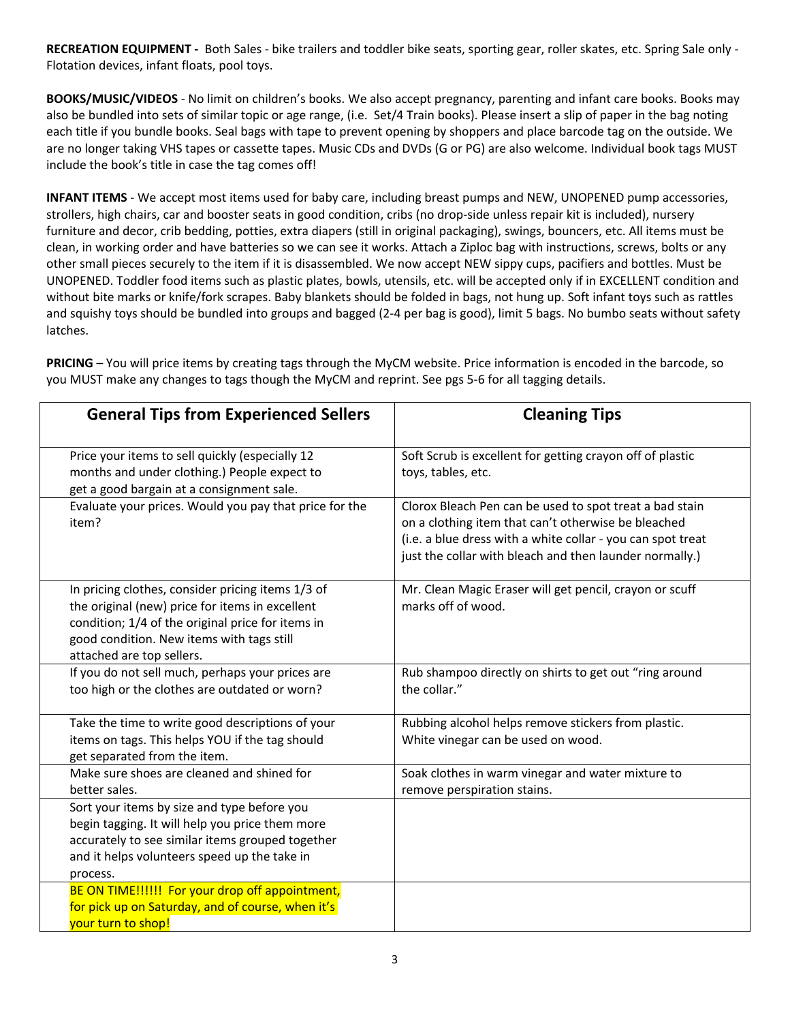**RECREATION EQUIPMENT ‐** Both Sales ‐ bike trailers and toddler bike seats, sporting gear, roller skates, etc. Spring Sale only ‐ Flotation devices, infant floats, pool toys.

**BOOKS/MUSIC/VIDEOS** ‐ No limit on children's books. We also accept pregnancy, parenting and infant care books. Books may also be bundled into sets of similar topic or age range, (i.e. Set/4 Train books). Please insert a slip of paper in the bag noting each title if you bundle books. Seal bags with tape to prevent opening by shoppers and place barcode tag on the outside. We are no longer taking VHS tapes or cassette tapes. Music CDs and DVDs (G or PG) are also welcome. Individual book tags MUST include the book's title in case the tag comes off!

**INFANT ITEMS** ‐ We accept most items used for baby care, including breast pumps and NEW, UNOPENED pump accessories, strollers, high chairs, car and booster seats in good condition, cribs (no drop‐side unless repair kit is included), nursery furniture and decor, crib bedding, potties, extra diapers (still in original packaging), swings, bouncers, etc. All items must be clean, in working order and have batteries so we can see it works. Attach a Ziploc bag with instructions, screws, bolts or any other small pieces securely to the item if it is disassembled. We now accept NEW sippy cups, pacifiers and bottles. Must be UNOPENED. Toddler food items such as plastic plates, bowls, utensils, etc. will be accepted only if in EXCELLENT condition and without bite marks or knife/fork scrapes. Baby blankets should be folded in bags, not hung up. Soft infant toys such as rattles and squishy toys should be bundled into groups and bagged (2‐4 per bag is good), limit 5 bags. No bumbo seats without safety latches.

**PRICING** – You will price items by creating tags through the MyCM website. Price information is encoded in the barcode, so you MUST make any changes to tags though the MyCM and reprint. See pgs 5‐6 for all tagging details.

| <b>General Tips from Experienced Sellers</b>                                                                                                                                                                                        | <b>Cleaning Tips</b>                                                                                                                                                                                                                     |
|-------------------------------------------------------------------------------------------------------------------------------------------------------------------------------------------------------------------------------------|------------------------------------------------------------------------------------------------------------------------------------------------------------------------------------------------------------------------------------------|
| Price your items to sell quickly (especially 12<br>months and under clothing.) People expect to<br>get a good bargain at a consignment sale.                                                                                        | Soft Scrub is excellent for getting crayon off of plastic<br>toys, tables, etc.                                                                                                                                                          |
| Evaluate your prices. Would you pay that price for the<br>item?                                                                                                                                                                     | Clorox Bleach Pen can be used to spot treat a bad stain<br>on a clothing item that can't otherwise be bleached<br>(i.e. a blue dress with a white collar - you can spot treat<br>just the collar with bleach and then launder normally.) |
| In pricing clothes, consider pricing items 1/3 of<br>the original (new) price for items in excellent<br>condition; 1/4 of the original price for items in<br>good condition. New items with tags still<br>attached are top sellers. | Mr. Clean Magic Eraser will get pencil, crayon or scuff<br>marks off of wood.                                                                                                                                                            |
| If you do not sell much, perhaps your prices are<br>too high or the clothes are outdated or worn?                                                                                                                                   | Rub shampoo directly on shirts to get out "ring around<br>the collar."                                                                                                                                                                   |
| Take the time to write good descriptions of your<br>items on tags. This helps YOU if the tag should<br>get separated from the item.                                                                                                 | Rubbing alcohol helps remove stickers from plastic.<br>White vinegar can be used on wood.                                                                                                                                                |
| Make sure shoes are cleaned and shined for<br>better sales.                                                                                                                                                                         | Soak clothes in warm vinegar and water mixture to<br>remove perspiration stains.                                                                                                                                                         |
| Sort your items by size and type before you<br>begin tagging. It will help you price them more<br>accurately to see similar items grouped together<br>and it helps volunteers speed up the take in<br>process.                      |                                                                                                                                                                                                                                          |
| BE ON TIME!!!!!! For your drop off appointment,<br>for pick up on Saturday, and of course, when it's<br>your turn to shop!                                                                                                          |                                                                                                                                                                                                                                          |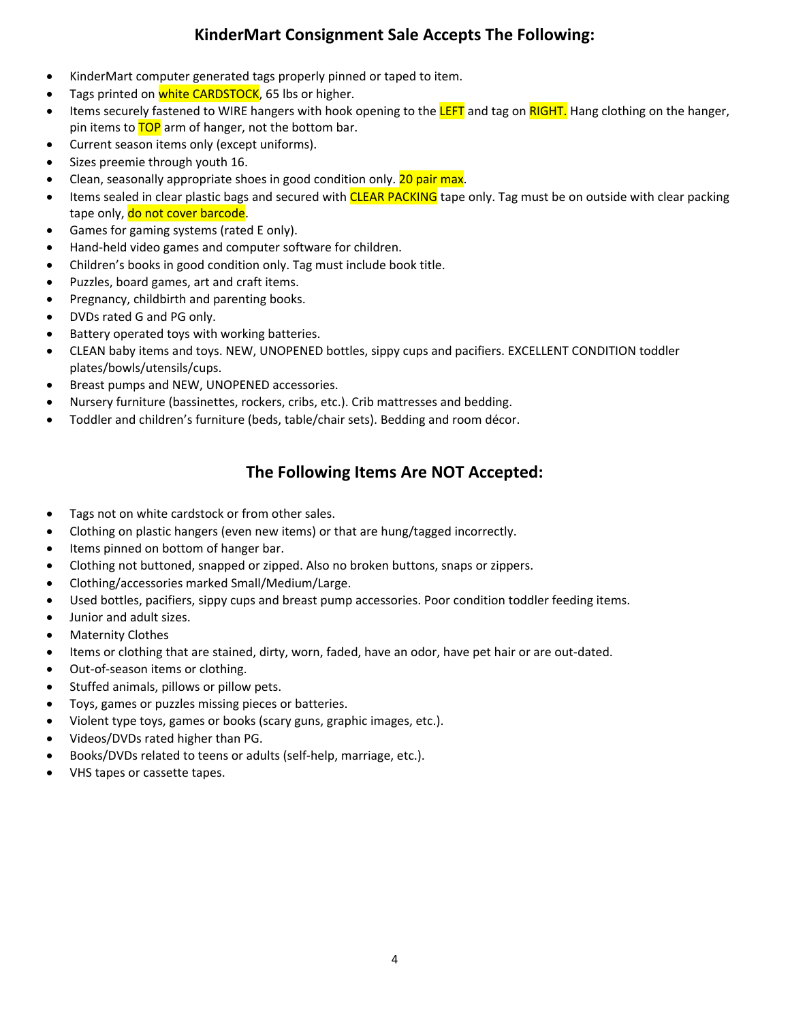# **KinderMart Consignment Sale Accepts The Following:**

- KinderMart computer generated tags properly pinned or taped to item.
- Tags printed on white CARDSTOCK, 65 lbs or higher.
- **I**tems securely fastened to WIRE hangers with hook opening to the LEFT and tag on RIGHT. Hang clothing on the hanger, pin items to TOP arm of hanger, not the bottom bar.
- Current season items only (except uniforms).
- Sizes preemie through youth 16.
- Clean, seasonally appropriate shoes in good condition only. 20 pair max.
- Items sealed in clear plastic bags and secured with CLEAR PACKING tape only. Tag must be on outside with clear packing tape only, do not cover barcode.
- Games for gaming systems (rated E only).
- Hand-held video games and computer software for children.
- Children's books in good condition only. Tag must include book title.
- Puzzles, board games, art and craft items.
- Pregnancy, childbirth and parenting books.
- DVDs rated G and PG only.
- Battery operated toys with working batteries.
- CLEAN baby items and toys. NEW, UNOPENED bottles, sippy cups and pacifiers. EXCELLENT CONDITION toddler plates/bowls/utensils/cups.
- Breast pumps and NEW, UNOPENED accessories.
- Nursery furniture (bassinettes, rockers, cribs, etc.). Crib mattresses and bedding.
- Toddler and children's furniture (beds, table/chair sets). Bedding and room décor.

## **The Following Items Are NOT Accepted:**

- Tags not on white cardstock or from other sales.
- Clothing on plastic hangers (even new items) or that are hung/tagged incorrectly.
- Items pinned on bottom of hanger bar.
- Clothing not buttoned, snapped or zipped. Also no broken buttons, snaps or zippers.
- Clothing/accessories marked Small/Medium/Large.
- Used bottles, pacifiers, sippy cups and breast pump accessories. Poor condition toddler feeding items.
- Junior and adult sizes.
- Maternity Clothes
- Items or clothing that are stained, dirty, worn, faded, have an odor, have pet hair or are out-dated.
- Out-of-season items or clothing.
- Stuffed animals, pillows or pillow pets.
- Toys, games or puzzles missing pieces or batteries.
- Violent type toys, games or books (scary guns, graphic images, etc.).
- Videos/DVDs rated higher than PG.
- Books/DVDs related to teens or adults (self‐help, marriage, etc.).
- VHS tapes or cassette tapes.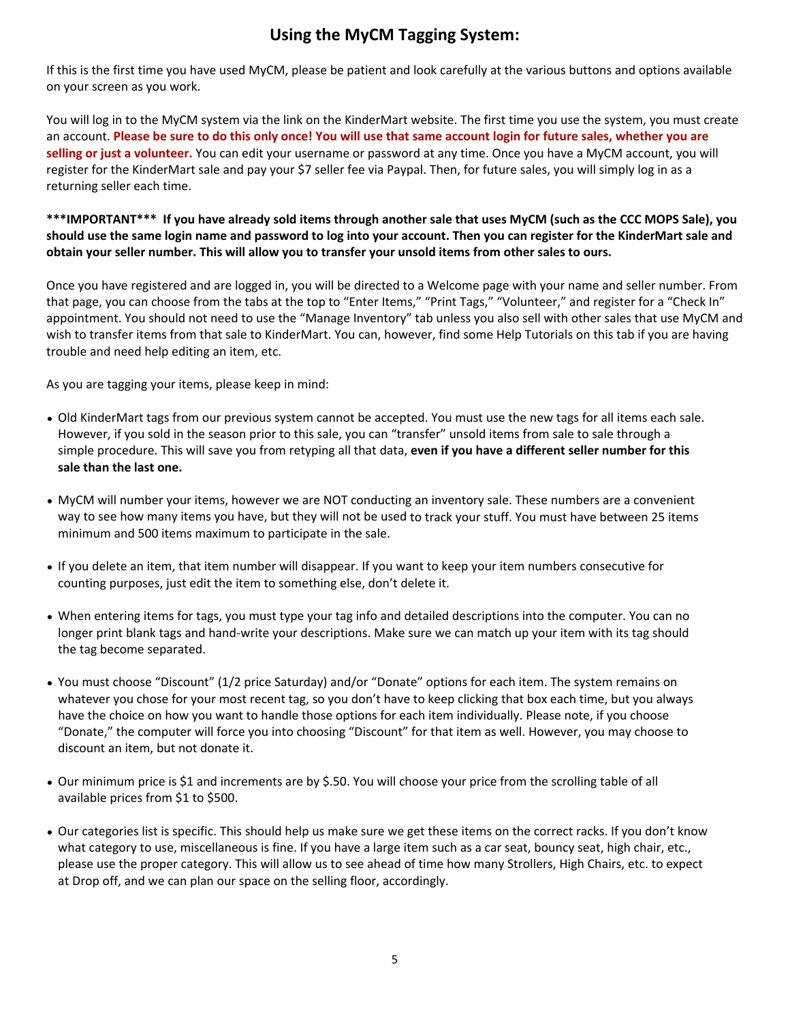# **Using the MyCM Tagging System:**

If this is the first time you have used MyCM, please be patient and look carefully at the various buttons and options available on your screen as you work.

You will log in to the MyCM system via the link on the KinderMart website. The first time you use the system, you must create an account. Please be sure to do this only once! You will use that same account login for future sales, whether you are **selling or just a volunteer.** You can edit your username or password at any time. Once you have a MyCM account, you will register for the KinderMart sale and pay your \$7 seller fee via Paypal. Then, for future sales, you will simply log in as a returning seller each time.

### \*\*\*IMPORTANT\*\*\* If you have already sold items through another sale that uses MyCM (such as the CCC MOPS Sale), you should use the same login name and password to log into your account. Then you can register for the KinderMart sale and obtain your seller number. This will allow you to transfer your unsold items from other sales to ours.

Once you have registered and are logged in, you will be directed to a Welcome page with your name and seller number. From that page, you can choose from the tabs at the top to "Enter Items," "Print Tags," "Volunteer," and register for a "Check In" appointment. You should not need to use the "Manage Inventory" tab unless you also sell with other sales that use MyCM and wish to transfer items from that sale to KinderMart. You can, however, find some Help Tutorials on this tab if you are having trouble and need help editing an item, etc.

As you are tagging your items, please keep in mind:

- Old KinderMart tags from our previous system cannot be accepted. You must use the new tags for all items each sale. However, if you sold in the season prior to this sale, you can "transfer" unsold items from sale to sale through a simple procedure. This will save you from retyping all that data, **even if you have a different seller number for this sale than the last one.**
- MyCM will number your items, however we are NOT conducting an inventory sale. These numbers are a convenient way to see how many items you have, but they will not be used to track your stuff. You must have between 25 items minimum and 500 items maximum to participate in the sale.
- If you delete an item, that item number will disappear. If you want to keep your item numbers consecutive for counting purposes, just edit the item to something else, don't delete it.
- When entering items for tags, you must type your tag info and detailed descriptions into the computer. You can no longer print blank tags and hand‐write your descriptions. Make sure we can match up your item with its tag should the tag become separated.
- You must choose "Discount" (1/2 price Saturday) and/or "Donate" options for each item. The system remains on whatever you chose for your most recent tag, so you don't have to keep clicking that box each time, but you always have the choice on how you want to handle those options for each item individually. Please note, if you choose "Donate," the computer will force you into choosing "Discount" for that item as well. However, you may choose to discount an item, but not donate it.
- Our minimum price is \$1 and increments are by \$.50. You will choose your price from the scrolling table of all available prices from \$1 to \$500.
- Our categories list is specific. This should help us make sure we get these items on the correct racks. If you don't know what category to use, miscellaneous is fine. If you have a large item such as a car seat, bouncy seat, high chair, etc., please use the proper category. This will allow us to see ahead of time how many Strollers, High Chairs, etc. to expect at Drop off, and we can plan our space on the selling floor, accordingly.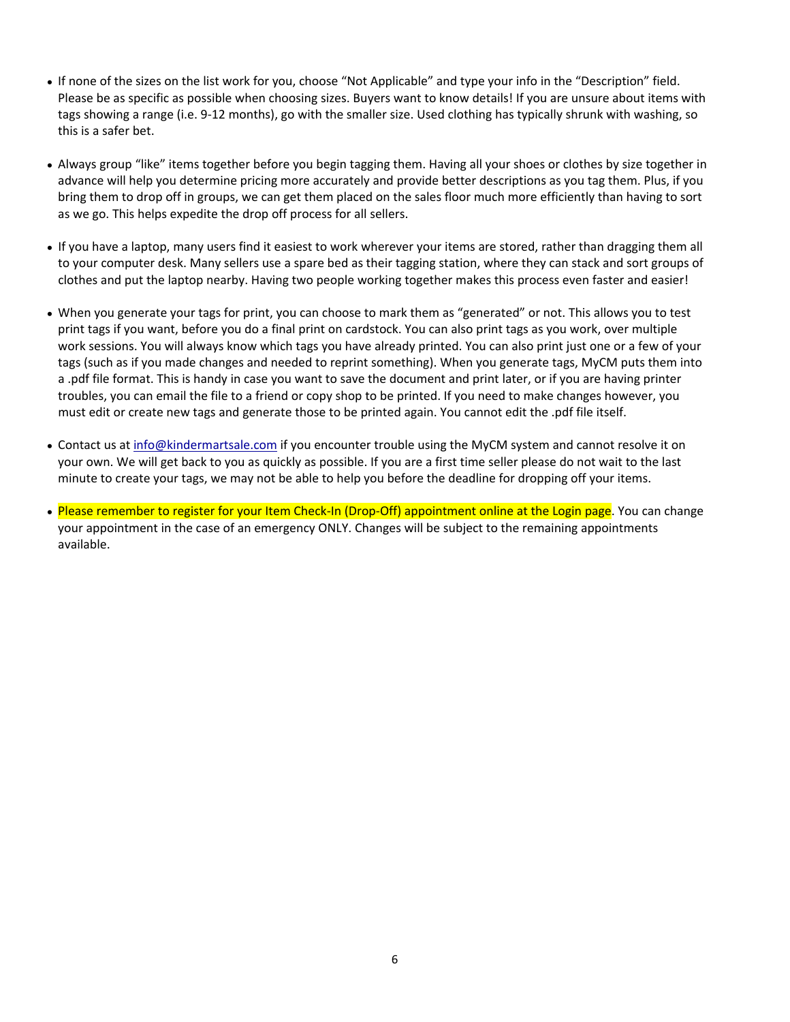- If none of the sizes on the list work for you, choose "Not Applicable" and type your info in the "Description" field. Please be as specific as possible when choosing sizes. Buyers want to know details! If you are unsure about items with tags showing a range (i.e. 9‐12 months), go with the smaller size. Used clothing has typically shrunk with washing, so this is a safer bet.
- Always group "like" items together before you begin tagging them. Having all your shoes or clothes by size together in advance will help you determine pricing more accurately and provide better descriptions as you tag them. Plus, if you bring them to drop off in groups, we can get them placed on the sales floor much more efficiently than having to sort as we go. This helps expedite the drop off process for all sellers.
- If you have a laptop, many users find it easiest to work wherever your items are stored, rather than dragging them all to your computer desk. Many sellers use a spare bed as their tagging station, where they can stack and sort groups of clothes and put the laptop nearby. Having two people working together makes this process even faster and easier!
- When you generate your tags for print, you can choose to mark them as "generated" or not. This allows you to test print tags if you want, before you do a final print on cardstock. You can also print tags as you work, over multiple work sessions. You will always know which tags you have already printed. You can also print just one or a few of your tags (such as if you made changes and needed to reprint something). When you generate tags, MyCM puts them into a .pdf file format. This is handy in case you want to save the document and print later, or if you are having printer troubles, you can email the file to a friend or copy shop to be printed. If you need to make changes however, you must edit or create new tags and generate those to be printed again. You cannot edit the .pdf file itself.
- Contact us at info@kindermartsale.com if you encounter trouble using the MyCM system and cannot resolve it on your own. We will get back to you as quickly as possible. If you are a first time seller please do not wait to the last minute to create your tags, we may not be able to help you before the deadline for dropping off your items.
- Please remember to register for your Item Check-In (Drop-Off) appointment online at the Login page. You can change your appointment in the case of an emergency ONLY. Changes will be subject to the remaining appointments available.